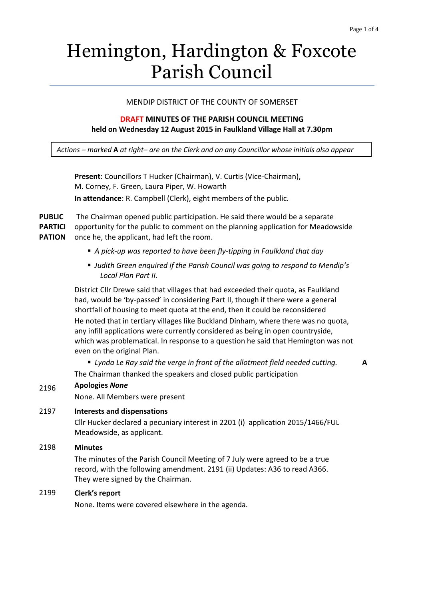**A**

# Hemington, Hardington & Foxcote Parish Council

## MENDIP DISTRICT OF THE COUNTY OF SOMERSET

## **DRAFT MINUTES OF THE PARISH COUNCIL MEETING held on Wednesday 12 August 2015 in Faulkland Village Hall at 7.30pm**

*Actions – marked* **A** *at right– are on the Clerk and on any Councillor whose initials also appear*

**Present**: Councillors T Hucker (Chairman), V. Curtis (Vice-Chairman), M. Corney, F. Green, Laura Piper, W. Howarth **In attendance**: R. Campbell (Clerk), eight members of the public.

**PUBLIC PARTICI PATION** The Chairman opened public participation. He said there would be a separate opportunity for the public to comment on the planning application for Meadowside once he, the applicant, had left the room.

- *A pick-up was reported to have been fly-tipping in Faulkland that day*
- *Judith Green enquired if the Parish Council was going to respond to Mendip's Local Plan Part II.*

District Cllr Drewe said that villages that had exceeded their quota, as Faulkland had, would be 'by-passed' in considering Part II, though if there were a general shortfall of housing to meet quota at the end, then it could be reconsidered He noted that in tertiary villages like Buckland Dinham, where there was no quota, any infill applications were currently considered as being in open countryside, which was problematical. In response to a question he said that Hemington was not even on the original Plan.

 *Lynda Le Ray said the verge in front of the allotment field needed cutting.* The Chairman thanked the speakers and closed public participation

# 2196 **Apologies** *None*

None. All Members were present

## 2197 **Interests and dispensations**

Cllr Hucker declared a pecuniary interest in 2201 (i) application 2015/1466/FUL Meadowside, as applicant.

## 2198 **Minutes**

The minutes of the Parish Council Meeting of 7 July were agreed to be a true record, with the following amendment. 2191 (ii) Updates: A36 to read A366. They were signed by the Chairman.

## 2199 **Clerk's report**

None. Items were covered elsewhere in the agenda.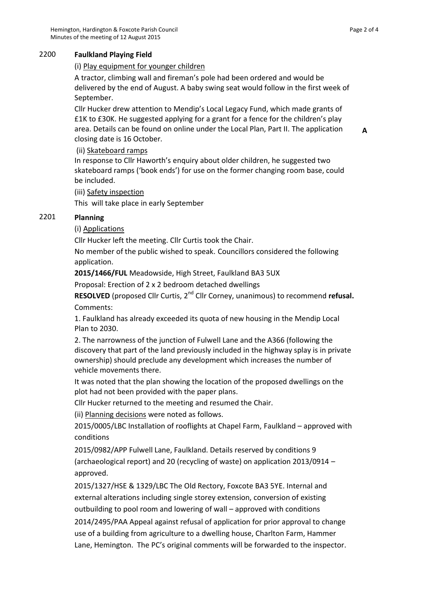## 2200 **Faulkland Playing Field**

## (i) Play equipment for younger children

A tractor, climbing wall and fireman's pole had been ordered and would be delivered by the end of August. A baby swing seat would follow in the first week of September.

Cllr Hucker drew attention to Mendip's Local Legacy Fund, which made grants of £1K to £30K. He suggested applying for a grant for a fence for the children's play area. Details can be found on online under the Local Plan, Part II. The application closing date is 16 October.

## (ii) Skateboard ramps

In response to Cllr Haworth's enquiry about older children, he suggested two skateboard ramps ('book ends') for use on the former changing room base, could be included.

## (iii) Safety inspection

This will take place in early September

# 2201 **Planning**

# (i) Applications

Cllr Hucker left the meeting. Cllr Curtis took the Chair.

No member of the public wished to speak. Councillors considered the following application.

**2015/1466/FUL** Meadowside, High Street, Faulkland BA3 5UX

Proposal: Erection of 2 x 2 bedroom detached dwellings

**RESOLVED** (proposed Cllr Curtis, 2<sup>nd</sup> Cllr Corney, unanimous) to recommend **refusal.** Comments:

1. Faulkland has already exceeded its quota of new housing in the Mendip Local Plan to 2030.

2. The narrowness of the junction of Fulwell Lane and the A366 (following the discovery that part of the land previously included in the highway splay is in private ownership) should preclude any development which increases the number of vehicle movements there.

It was noted that the plan showing the location of the proposed dwellings on the plot had not been provided with the paper plans.

Cllr Hucker returned to the meeting and resumed the Chair.

(ii) Planning decisions were noted as follows.

2015/0005/LBC Installation of rooflights at Chapel Farm, Faulkland – approved with conditions

2015/0982/APP Fulwell Lane, Faulkland. Details reserved by conditions 9 (archaeological report) and 20 (recycling of waste) on application 2013/0914 – approved.

2015/1327/HSE & 1329/LBC The Old Rectory, Foxcote BA3 5YE. Internal and external alterations including single storey extension, conversion of existing outbuilding to pool room and lowering of wall – approved with conditions

2014/2495/PAA Appeal against refusal of application for prior approval to change use of a building from agriculture to a dwelling house, Charlton Farm, Hammer Lane, Hemington. The PC's original comments will be forwarded to the inspector. **A**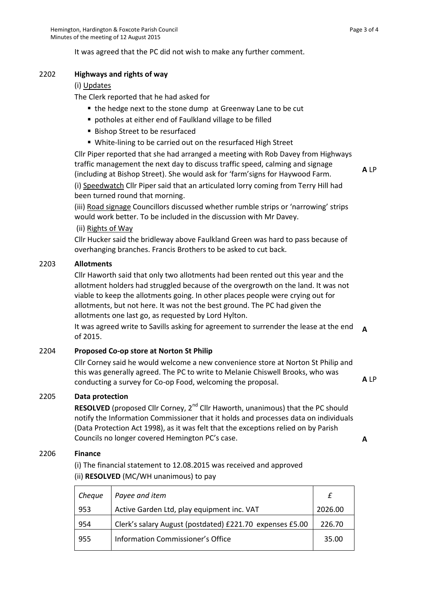It was agreed that the PC did not wish to make any further comment.

## 2202 **Highways and rights of way**

## (i) Updates

The Clerk reported that he had asked for

- the hedge next to the stone dump at Greenway Lane to be cut
- potholes at either end of Faulkland village to be filled
- **Bishop Street to be resurfaced**
- White-lining to be carried out on the resurfaced High Street

Cllr Piper reported that she had arranged a meeting with Rob Davey from Highways traffic management the next day to discuss traffic speed, calming and signage (including at Bishop Street). She would ask for 'farm'signs for Haywood Farm.

**A** LP

(i) Speedwatch Cllr Piper said that an articulated lorry coming from Terry Hill had been turned round that morning.

(iii) Road signage Councillors discussed whether rumble strips or 'narrowing' strips would work better. To be included in the discussion with Mr Davey.

## (ii) Rights of Way

Cllr Hucker said the bridleway above Faulkland Green was hard to pass because of overhanging branches. Francis Brothers to be asked to cut back.

## 2203 **Allotments**

Cllr Haworth said that only two allotments had been rented out this year and the allotment holders had struggled because of the overgrowth on the land. It was not viable to keep the allotments going. In other places people were crying out for allotments, but not here. It was not the best ground. The PC had given the allotments one last go, as requested by Lord Hylton.

It was agreed write to Savills asking for agreement to surrender the lease at the end of 2015. **A**

## 2204 **Proposed Co-op store at Norton St Philip**

Cllr Corney said he would welcome a new convenience store at Norton St Philip and this was generally agreed. The PC to write to Melanie Chiswell Brooks, who was conducting a survey for Co-op Food, welcoming the proposal. **A** LP

# 2205 **Data protection**

**RESOLVED** (proposed Cllr Corney, 2<sup>nd</sup> Cllr Haworth, unanimous) that the PC should notify the Information Commissioner that it holds and processes data on individuals (Data Protection Act 1998), as it was felt that the exceptions relied on by Parish Councils no longer covered Hemington PC's case. **A**

#### 2206 **Finance**

(i) The financial statement to 12.08.2015 was received and approved (ii) **RESOLVED** (MC/WH unanimous) to pay

| Cheque | Payee and item                                           |         |
|--------|----------------------------------------------------------|---------|
| 953    | Active Garden Ltd, play equipment inc. VAT               | 2026.00 |
| 954    | Clerk's salary August (postdated) £221.70 expenses £5.00 | 226.70  |
| 955    | Information Commissioner's Office                        | 35.00   |